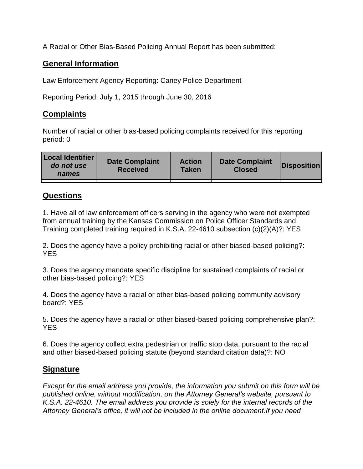A Racial or Other Bias-Based Policing Annual Report has been submitted:

## **General Information**

Law Enforcement Agency Reporting: Caney Police Department

Reporting Period: July 1, 2015 through June 30, 2016

## **Complaints**

Number of racial or other bias-based policing complaints received for this reporting period: 0

| <b>Local Identifier</b><br>do not use<br>names | <b>Date Complaint</b><br><b>Received</b> | <b>Action</b><br><b>Taken</b> | <b>Date Complaint</b><br><b>Closed</b> | Disposition |
|------------------------------------------------|------------------------------------------|-------------------------------|----------------------------------------|-------------|
|                                                |                                          |                               |                                        |             |

## **Questions**

1. Have all of law enforcement officers serving in the agency who were not exempted from annual training by the Kansas Commission on Police Officer Standards and Training completed training required in K.S.A. 22-4610 subsection (c)(2)(A)?: YES

2. Does the agency have a policy prohibiting racial or other biased-based policing?: YES

3. Does the agency mandate specific discipline for sustained complaints of racial or other bias-based policing?: YES

4. Does the agency have a racial or other bias-based policing community advisory board?: YES

5. Does the agency have a racial or other biased-based policing comprehensive plan?: YES

6. Does the agency collect extra pedestrian or traffic stop data, pursuant to the racial and other biased-based policing statute (beyond standard citation data)?: NO

## **Signature**

*Except for the email address you provide, the information you submit on this form will be published online, without modification, on the Attorney General's website, pursuant to K.S.A. 22-4610. The email address you provide is solely for the internal records of the Attorney General's office, it will not be included in the online document.If you need*